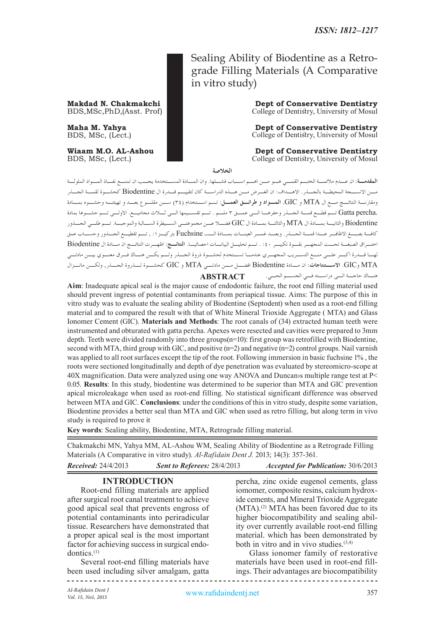Sealing Ability of Biodentine as a Retrograde Filling Materials (A Comparative in vitro study)

**Makdad N. Chakmakchi Dept of Conservative Dentistry** BDS, MSc, PhD, (Asst. Prof) College of Dentistry, University of Mosul College of Dentistry, University of Mosul

**Maha M. Yahya Dept of Conservative Dentistry**<br>BDS, MSc, (Lect.) **Dept of Conservative Dentistry College of Dentistry**, University of Mosul College of Dentistry, University of Mosul

**Wiaam M.O. AL-Ashou Dept of Conservative Dentistry**<br>BDS, MSc, (Lect.) **Dept of Conservative Dentistry** BDS, MSc, (Lect.) College of Dentistry, University of Mosul

**الخالصة**

**المقدمـة**: ان عـدم مالئمـة الختـم القمـي هـو مـن اهـم اسـباب فشـلها. وان المـادة المسـتخدمة يجـب ان تمنـع نفـاذ المـواد الملوثـة مـن االنسـجة المحيطـة بالجـذر. االهـداف: ان الغـرض مـن هـذه الدراسـة كان لتقييـم قـدرة ال Biodentine كحشـوة لقمـة الجـذر ومقارنـة النتائـج مـع ال MTA و GIC. **المـواد و طرائـق العمـل**: تـم اسـتخدام )34( سـن مقلـوع بعـد و تهيئتـه وحشـوه بمـادة .percha Gatta تـم قطـع قمـة الجـذر وحفرهـا الـى عمـق 3 ملـم . تـم تقسـيمها الـى ثـاث مجاميـع. االولـى تـم حشـوها بمادة Biodentine والثانيـة بمـادة ال MTA والثالثـة بمـادة ال GIC فضـا عـن مجموعتـى السـيطرة السـالبة والموجبـة. تـم طلـي الجـذور كافـة بصبـغ االظافـر عـدا قمـة الجـذر. وبعـد غمـر العينـات بمـادة الــ Fuchsine بتركيـز%1 , تـم تقطيـع الجـذور وحسـاب عمق اختـراق الصبغـة تحـت المجهـر بقـوة تكبيـر %40 . تـم تحليـل البيانـات احصائيـا. **النتائـج**: اظهـرت النتائـج ان مـادة ال Biodentine لهـا قـدرة اكبـر علـى منـع التسـريب المجهـري عندمـا تسـتخدم لحشـوة ذروة الجـذر ولـم يكـن هنـاك فـرق معنـوي بيـن مادتـي MTA وGIC. **االســتنتاجات**: ان مــادة Biodentine افضــل مــن مادتــي MTA و GIC كحشــوة لــذروة الجــذر, ولكــن ماتــزال هنـاك حاجـة الـى دراسـته فـي الجسـم الحـي. **ABSTRACT**

**Aim**: Inadequate apical seal is the major cause of endodontic failure, the root end filling material used should prevent ingress of potential contaminants from periapical tissue. Aims: The purpose of this in vitro study was to evaluate the sealing ability of Biodentine (Septodent) when used as a root-end filling material and to compared the result with that of White Mineral Trioxide Aggregate ( MTA) and Glass Ionomer Cement (GIC). **Materials and Methods**: The root canals of (34) extracted human teeth were instrumented and obturated with gatta percha. Apexes were resected and cavities were prepared to 3mm depth. Teeth were divided randomly into three groups(n=10): first group was retrofilled with Biodentine, second with MTA, third group with GIC, and positive (n=2) and negative (n=2) control groups. Nail varnish was applied to all root surfaces except the tip of the root. Following immersion in basic fuchsine 1%, the roots were sectioned longitudinally and depth of dye penetration was evaluated by stereomicro-scope at 40X magnification. Data were analyzed using one way ANOVA and Duncan›s multiple range test at P< 0.05. **Results**: In this study, biodentine was determined to be superior than MTA and GIC prevention apical microleakage when used as root-end filling. No statistical significant difference was observed between MTA and GIC. **Conclusions**: under the conditions of this in vitro study, despite some variation, Biodentine provides a better seal than MTA and GIC when used as retro filling, but along term in vivo study is required to prove it

**Key words**: Sealing ability, Biodentine, MTA, Retrograde filling material.

Chakmakchi MN, Yahya MM, AL-Ashou WM, Sealing Ability of Biodentine as a Retrograde Filling Materials (A Comparative in vitro study). *Al-Rafidain Dent J.* 2013; 14(3): 357-361.

| <b>Received:</b> 24/4/2013 | <b>Sent to Referees: 28/4/2013</b> | <b>Accepted for Publication: 30/6/2013</b> |
|----------------------------|------------------------------------|--------------------------------------------|
|                            |                                    |                                            |

# **INTRODUCTION**

Root-end filling materials are applied after surgical root canal treatment to achieve good apical seal that prevents engross of potential contaminants into periradicular tissue. Researchers have demonstrated that a proper apical seal is the most important factor for achieving success in surgical endodontics.(1)

Several root-end filling materials have been used including silver amalgam, gatta percha, zinc oxide eugenol cements, glass iomomer, composite resins, calcium hydroxide cements, and Mineral Trioxide Aggregate  $(MTA).<sup>(2)</sup> MTA has been favored due to its$ higher biocompatibility and sealing ability over currently available root-end filling material. which has been demonstrated by both in vitro and in vivo studies. $(3,4)$ 

Glass ionomer family of restorative materials have been used in root-end fillings. Their advantages are biocompatibility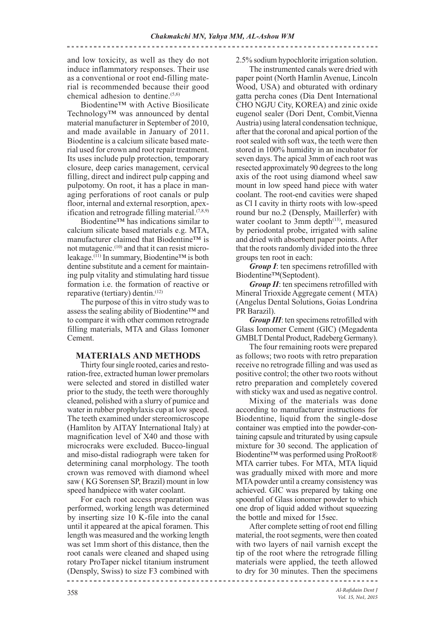and low toxicity, as well as they do not induce inflammatory responses. Their use as a conventional or root end-filling material is recommended because their good chemical adhesion to dentine.<sup>(5,6)</sup>

Biodentine™ with Active Biosilicate Technology™ was announced by dental material manufacturer in September of 2010, and made available in January of 2011. Biodentine is a calcium silicate based material used for crown and root repair treatment. Its uses include pulp protection, temporary closure, deep caries management, cervical filling, direct and indirect pulp capping and pulpotomy. On root, it has a place in managing perforations of root canals or pulp floor, internal and external resorption, apexification and retrograde filling material. $(7,8,9)$ 

Biodentine™ has indications similar to calcium silicate based materials e.g. MTA, manufacturer claimed that Biodentine™ is not mutagenic.(10) and that it can resist microleakage.(11) In summary, Biodentine™ is both dentine substitute and a cement for maintaining pulp vitality and stimulating hard tissue formation i.e. the formation of reactive or reparative (tertiary) dentin.(12)

The purpose of this in vitro study was to assess the sealing ability of Biodentine™ and to compare it with other common retrograde filling materials, MTA and Glass Iomoner Cement.

# **MATERIALS AND METHODS**

Thirty four single rooted, caries and restoration-free, extracted human lower premolars were selected and stored in distilled water prior to the study, the teeth were thoroughly cleaned, polished with a slurry of pumice and water in rubber prophylaxis cup at low speed. The teeth examined under stereomicroscope (Hamliton by AITAY International Italy) at magnification level of X40 and those with microcraks were excluded. Bucco-lingual and miso-distal radiograph were taken for determining canal morphology. The tooth crown was removed with diamond wheel saw ( KG Sorensen SP, Brazil) mount in low speed handpiece with water coolant.

For each root access preparation was performed, working length was determined by inserting size 10 K-file into the canal until it appeared at the apical foramen. This length was measured and the working length was set 1mm short of this distance, then the root canals were cleaned and shaped using rotary ProTaper nickel titanium instrument (Densply, Swiss) to size F3 combined with

2.5% sodium hypochlorite irrigation solution.

The instrumented canals were dried with paper point (North Hamlin Avenue, Lincoln Wood, USA) and obturated with ordinary gatta percha cones (Dia Dent International CHO NGJU City, KOREA) and zinic oxide eugenol sealer (Dori Dent, Combit,Vienna Austria) using lateral condensation technique, after that the coronal and apical portion of the root sealed with soft wax, the teeth were then stored in 100% humidity in an incubator for seven days. The apical 3mm of each root was resected approximately 90 degrees to the long axis of the root using diamond wheel saw mount in low speed hand piece with water coolant. The root-end cavities were shaped as Cl I cavity in thirty roots with low-speed round bur no.2 (Densply, Maillerfer) with water coolant to 3mm depth<sup>(13)</sup>, measured by periodontal probe, irrigated with saline and dried with absorbent paper points. After that the roots randomly divided into the three groups ten root in each:

*Group I*: ten specimens retrofilled with Biodentine™(Septodent).

*Group II*: ten specimens retrofilled with Mineral Trioxide Aggregate cement ( MTA) (Angelus Dental Solutions, Goias Londrina PR Barazil).

*Group III*: ten specimens retrofilled with Glass Iomomer Cement (GIC) (Megadenta GMBLT Dental Product, Radeberg Germany).

The four remaining roots were prepared as follows; two roots with retro preparation receive no retrograde filling and was used as positive control; the other two roots without retro preparation and completely covered with sticky wax and used as negative control.

Mixing of the materials was done according to manufacturer instructions for Biodentine, liquid from the single-dose container was emptied into the powder-containing capsule and triturated by using capsule mixture for 30 second. The application of Biodentine™ was performed using ProRoot® MTA carrier tubes. For MTA, MTA liquid was gradually mixed with more and more MTA powder until a creamy consistency was achieved. GIC was prepared by taking one spoonful of Glass ionomer powder to which one drop of liquid added without squeezing the bottle and mixed for 15sec.

After complete setting of root end filling material, the root segments, were then coated with two layers of nail varnish except the tip of the root where the retrograde filling materials were applied, the teeth allowed to dry for 30 minutes. Then the specimens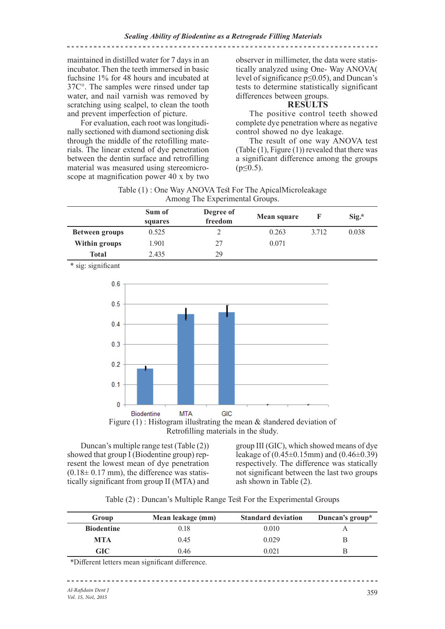## maintained in distilled water for 7 days in an incubator. Then the teeth immersed in basic fuchsine 1% for 48 hours and incubated at 37C°. The samples were rinsed under tap water, and nail varnish was removed by scratching using scalpel, to clean the tooth and prevent imperfection of picture.

For evaluation, each root was longitudinally sectioned with diamond sectioning disk through the middle of the retofilling materials. The linear extend of dye penetration between the dentin surface and retrofilling material was measured using stereomicroscope at magnification power 40 x by two

observer in millimeter, the data were statistically analyzed using One- Way ANOVA( level of significance p≤0.05), and Duncan's tests to determine statistically significant differences between groups.

# **RESULTS**

The positive control teeth showed complete dye penetration where as negative control showed no dye leakage.

The result of one way ANOVA test (Table (1), Figure (1)) revealed that there was a significant difference among the groups  $(p \le 0.5)$ .

| Table (1): One Way ANOVA Test For The ApicalMicroleakage |  |
|----------------------------------------------------------|--|
| Among The Experimental Groups.                           |  |

|                       | Sum of<br>squares | Degree of<br>freedom | <b>Mean square</b> |       | $Sig.*$ |
|-----------------------|-------------------|----------------------|--------------------|-------|---------|
| <b>Between groups</b> | 0.525             |                      | 0.263              | 3.712 | 0.038   |
| Within groups         | 1.901             | 27                   | 0.071              |       |         |
| Total                 | 2.435             | 29                   |                    |       |         |

\* sig: significant





Duncan's multiple range test (Table (2)) showed that group  $\overline{I}$  (Biodentine group) represent the lowest mean of dye penetration  $(0.18\pm 0.17$  mm), the difference was statistically significant from group II (MTA) and

group III (GIC), which showed means of dye leakage of  $(0.45 \pm 0.15$ mm) and  $(0.46 \pm 0.39)$ respectively. The difference was statically not significant between the last two groups ash shown in Table (2).

Table (2) : Duncan's Multiple Range Test For the Experimental Groups

| Group             | Mean leakage (mm) | <b>Standard deviation</b> | Duncan's group* |
|-------------------|-------------------|---------------------------|-----------------|
| <b>Biodentine</b> | 0.18              | 0.010                     |                 |
| MTA               | 0.45              | 0.029                     |                 |
| <b>GIC</b>        | 0.46              | 0.021                     |                 |

\*Different letters mean significant difference.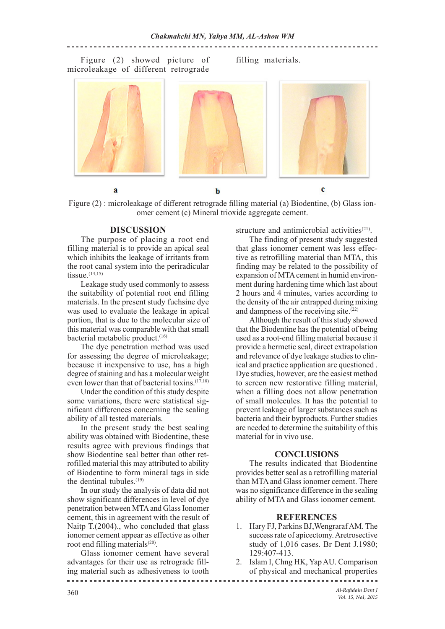<u>\_\_\_\_\_\_\_\_\_\_\_\_\_\_\_\_\_\_\_\_\_\_\_\_\_\_\_</u>

Figure (2) showed picture of microleakage of different retrograde

filling materials.



Figure (2) : microleakage of different retrograde filling material (a) Biodentine, (b) Glass ionomer cement (c) Mineral trioxide aggregate cement.

#### **DISCUSSION**

The purpose of placing a root end filling material is to provide an apical seal which inhibits the leakage of irritants from the root canal system into the periradicular tissue. $(14,15)$ 

Leakage study used commonly to assess the suitability of potential root end filling materials. In the present study fuchsine dye was used to evaluate the leakage in apical portion, that is due to the molecular size of this material was comparable with that small bacterial metabolic product.<sup>(16)</sup>

The dye penetration method was used for assessing the degree of microleakage; because it inexpensive to use, has a high degree of staining and has a molecular weight even lower than that of bacterial toxins. $(17,18)$ 

Under the condition of this study despite some variations, there were statistical significant differences concerning the sealing ability of all tested materials.

In the present study the best sealing ability was obtained with Biodentine, these results agree with previous findings that show Biodentine seal better than other retrofilled material this may attributed to ability of Biodentine to form mineral tags in side the dentinal tubules.<sup>(19)</sup>

In our study the analysis of data did not show significant differences in level of dye penetration between MTA and Glass Ionomer cement, this in agreement with the result of Naitp T.(2004)., who concluded that glass ionomer cement appear as effective as other root end filling materials<sup>(20)</sup>.

Glass ionomer cement have several advantages for their use as retrograde filling material such as adhesiveness to tooth

structure and antimicrobial activities<sup>(21)</sup>.

The finding of present study suggested that glass ionomer cement was less effective as retrofilling material than MTA, this finding may be related to the possibility of expansion of MTA cement in humid environment during hardening time which last about 2 hours and 4 minutes, varies according to the density of the air entrapped during mixing and dampness of the receiving site. $(22)$ 

Although the result of this study showed that the Biodentine has the potential of being used as a root-end filling material because it provide a hermetic seal, direct extrapolation and relevance of dye leakage studies to clinical and practice application are questioned . Dye studies, however, are the easiest method to screen new restorative filling material, when a filling does not allow penetration of small molecules. It has the potential to prevent leakage of larger substances such as bacteria and their byproducts. Further studies are needed to determine the suitability of this material for in vivo use.

## **CONCLUSIONS**

The results indicated that Biodentine provides better seal as a retrofilling material than MTA and Glass ionomer cement. There was no significance difference in the sealing ability of MTA and Glass ionomer cement.

#### **REFERENCES**

- 1. Hary FJ, Parkins BJ,Wengraraf AM. The success rate of apicectomy. Aretrosective study of 1,016 cases. Br Dent J.1980; 129:407-413.
- 2. Islam I, Chng HK, Yap AU. Comparison of physical and mechanical properties